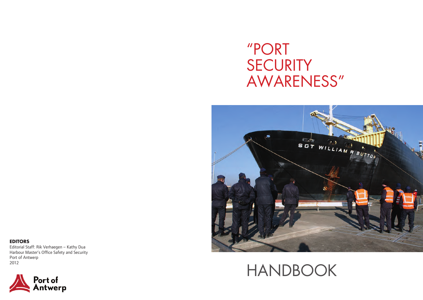# "PORT **SECURITY** AWARENESS"



# HANDBOOK

**EDITORS**  Editorial Staff: Rik Verhaegen – Kathy Dua Harbour Master's Office Safety and Security Port of Antwerp 2012

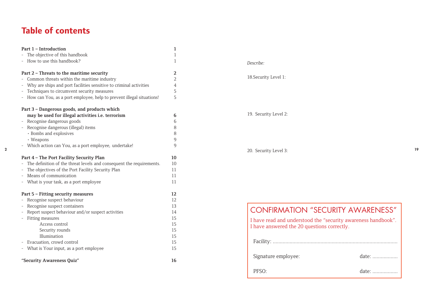## **Table of contents**

|                | Part 1 - Introduction                                                  |                |                                                               |    |
|----------------|------------------------------------------------------------------------|----------------|---------------------------------------------------------------|----|
|                | - The objective of this handbook                                       |                |                                                               |    |
|                | - How to use this handbook?                                            |                | Describe:                                                     |    |
|                | Part 2 - Threats to the maritime security                              | 2              |                                                               |    |
|                | - Common threats within the maritime industry                          | $\overline{2}$ | 18. Security Level 1:                                         |    |
|                | Why are ships and port facilities sensitive to criminal activities     |                |                                                               |    |
|                | - Techniques to circumvent security measures                           | 5              |                                                               |    |
|                | - How can You, as a port employee, help to prevent illegal situations! | 5              |                                                               |    |
|                | Part 3 - Dangerous goods, and products which                           |                |                                                               |    |
|                | may be used for illegal activities i.e. terrorism                      | 6              | 19. Security Level 2:                                         |    |
|                | - Recognise dangerous goods                                            | 6              |                                                               |    |
|                | - Recognise dangerous (illegal) items                                  | 8              |                                                               |    |
|                | · Bombs and explosives                                                 | 8              |                                                               |    |
|                | • Weapons                                                              | q              |                                                               |    |
|                | - Which action can You, as a port employee, undertake!                 | 9              |                                                               |    |
| $\overline{2}$ |                                                                        |                | 20. Security Level 3:                                         | 19 |
|                | Part 4 - The Port Facility Security Plan                               | 10             |                                                               |    |
|                | - The definition of the threat levels and consequent the requirements. | 10             |                                                               |    |
|                | The objectives of the Port Facility Security Plan                      | 11             |                                                               |    |
|                | - Means of communication                                               | 11             |                                                               |    |
|                | - What is your task, as a port employee                                | 11             |                                                               |    |
|                | Part 5 - Fitting security measures                                     | 12             |                                                               |    |
|                | - Recognise suspect behaviour                                          | 12             |                                                               |    |
|                | Recognise suspect containers                                           | 13             |                                                               |    |
|                | - Report suspect behaviour and/or suspect activities                   | 14             | <b>CONFIRMATION "SECURITY AWARENESS"</b>                      |    |
|                | - Fitting measures                                                     | 15             | I have read and understood the "security awareness handbook". |    |
|                | Access control                                                         | 15             | I have answered the 20 questions correctly.                   |    |
|                | Security rounds                                                        | 15             |                                                               |    |
|                | Illumination                                                           | 15             |                                                               |    |
|                | - Evacuation, crowd control                                            | 15             |                                                               |    |
|                | - What is Your input, as a port employee                               | 15             |                                                               |    |
|                | "Security Awareness Quiz"                                              | 16             | Signature employee:<br>date:                                  |    |

| <b>CONFIRMATION "SECURITY AWARENESS"</b>                                                                     |       |  |  |  |  |  |
|--------------------------------------------------------------------------------------------------------------|-------|--|--|--|--|--|
| I have read and understood the "security awareness handbook".<br>I have answered the 20 questions correctly. |       |  |  |  |  |  |
|                                                                                                              |       |  |  |  |  |  |
| Signature employee:                                                                                          | date: |  |  |  |  |  |
| $PFSO+$                                                                                                      | date: |  |  |  |  |  |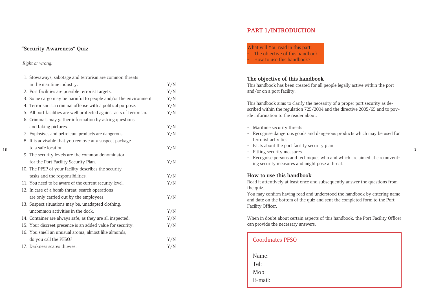#### *Right or wrong:*

18

| 1. Stowaways, sabotage and terrorism are common threats              |     |
|----------------------------------------------------------------------|-----|
| in the maritime industry.                                            | Y/N |
| 2. Port facilities are possible terrorist targets.                   | Y/N |
| 3. Some cargo may be harmful to people and/or the environment        | Y/N |
| 4. Terrorism is a criminal offense with a political purpose.         | Y/N |
| 5. All port facilities are well protected against acts of terrorism. | Y/N |
| 6. Criminals may gather information by asking questions              |     |
| and taking pictures.                                                 | Y/N |
| 7. Explosives and petroleum products are dangerous.                  | Y/N |
| 8. It is advisable that you remove any suspect package               |     |
| to a safe location.                                                  | Y/N |
| 9. The security levels are the common denominator                    |     |
| for the Port Facility Security Plan.                                 | Y/N |
| 10. The PFSP of your facility describes the security                 |     |
| tasks and the responsibilities.                                      | Y/N |
| 11. You need to be aware of the current security level.              | Y/N |
| 12. In case of a bomb threat, search operations                      |     |
| are only carried out by the employees.                               | Y/N |
| 13. Suspect situations may be, unadapted clothing,                   |     |
| uncommon activities in the dock.                                     | Y/N |
| 14. Container are always safe, as they are all inspected.            | Y/N |
| 15. Your discreet presence is an added value for security.           | Y/N |
| 16. You smell an unusual aroma, almost like almonds,                 |     |
| do you call the PFSO?                                                | Y/N |
| 17. Darkness scares thieves.                                         | Y/N |

## **PART 1/INTRODUCTION**

**"Security Awareness" Ouiz COMPACT CONTACT CONTACT CONTACT CONTACT CONTACT CONTACT CONTACT CONTACT CONTACT CONTACT CONTACT CONTACT CONTACT CONTACT CONTACT CONTACT CONTACT CONTACT CONTACT CONTACT CONTACT CONTACT CONTACT C** The objective of this handbook How to use this handbook?

### **The objective of this handbook**

This handbook has been created for all people legally active within the port and/or on a port facility.

This handbook aims to clarify the necessity of a proper port security as de scribed within the regulation 725/2004 and the directive 2005/65 and to pov ide information to the reader about:

- Maritime security threats - Recognise dangerous goods and dangerous products which may be used for terrorist activities - Facts about the port facility security plan - Fitting security measures - Recognise persons and techniques who and which are aimed at circumventing security measures and might pose a threat. **How to use this handbook** Read it attentively at least once and subsequently answer the questions from the quiz. You may confirm having read and understood the handbook by entering name and date on the bottom of the quiz and sent the completed form to the Port Facility Officer. When in doubt about certain aspects of this handbook, the Port Facility Officer can provide the necessary answers.

3

| <b>Coordinates PFSO</b>          |  |  |
|----------------------------------|--|--|
| Name:<br>Tel:<br>Mob:<br>E-mail: |  |  |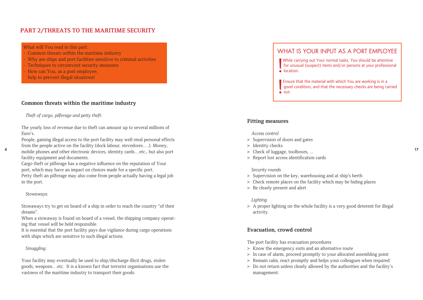## **PART 2/THREATS TO THE MARITIME SECURITY**

#### What will You read in this part:

- Common threats within the maritime industry
- Why are ships and port facilities sensitive to criminal activities
- Techniques to circumvent security measures
- How can You, as a port employee.
- help to prevent illegal situations!

## **Common threats within the maritime industry**

*Theft of cargo, pilferage and petty theft:*

The yearly loss of revenue due to theft can amount up to several millions of Euro's.

People, gaining illegal access to the port facility may well steal personal effects from the people active on the facility (dock labour, stevedores….). Money, a mobile phones and other electronic devices, identity cards…etc., but also port and the state of luggage, toolboxes, ... facility equipment and documents.

Cargo theft or pilferage has a negative influence on the reputation of Your port, which may have an impact on choices made for a specific port. Petty theft an pilferage may also come from people actually having a legal job in the port.

#### *Stowaways:*

Stowaways try to get on board of a ship in order to reach the country "of their dreams".

When a stowaway is found on board of a vessel, the shipping company operating that vessel will be held responsible.

It is essential that the port facility pays due vigilance during cargo operations with ships which are sensitive to such illegal actions.

#### *Smuggling:*

Your facility may eventually be used to ship/discharge illicit drugs, stolen goods, weapons…etc. It is a known fact that terrorist organisations use the vastness of the maritime industry to transport their goods.

## WHAT IS YOUR INPUT AS A PORT EMPLOYEE

While can<br>for unus<br>• location. While carrying out Your normal tasks, You should be attentive for unusual (suspect) items and/or persons at your professional

| Ensu<br>| goo<br>| out. Ensure that the material with which You are working is in a good condition, and that the necessary checks are being carried

## **Fitting measures**

#### *Access control*

- > Supervision of doors and gates
- > Identity checks
- > Check of luggage, toolboxes, ...
- > Report lost access identification cards

#### *Security rounds*

- > Supervision on the key, warehousing and at ship's berth
- > Check remote places on the facility which may be hiding places
- > Be clearly present and alert

#### *Lighting*

> A proper lighting on the whole facility is a very good deterent for illegal activity.

## **Evacuation, crowd control**

The port facility has evacuation procedures

- > Know the emergency exits and an alternative route
- > In case of alarm, proceed promptly to your allocated assembling point
- > Remain calm, react promptly and helps your colleagues when required
- > Do not return unless clearly allowed by the authorities and the facility's management.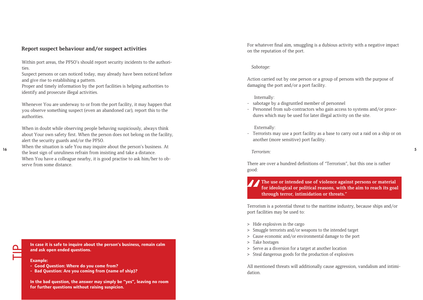### **Report suspect behaviour and/or suspect activities**

Within port areas, the PFSO's should report security incidents to the authorities.

Suspect persons or cars noticed today, may already have been noticed before and give rise to establishing a pattern.

Proper and timely information by the port facilities is helping authorities to identify and prosecute illegal activities.

Whenever You are underway to or from the port facility, it may happen that you observe something suspect (even an abandoned car), report this to the authorities.

When in doubt while observing people behaving suspiciously, always think about Your own safety first. When the person does not belong on the facility, alert the security guards and/or the PFSO.

When the situation is safe You may inquire about the person's business. At the least sign of unruliness refrain from insisting and take a distance. When You have a colleague nearby, it is good practise to ask him/her to observe from some distance.

In case it is safe to inquire about the person's business, remain calm **and ask open ended questions.**

#### **Example:**

- **- Good Question: Where do you come from?**
- **- Bad Question: Are you coming from (name of ship)?**

**In the bad question, the answer may simply be "yes", leaving no room for further questions without raising suspicion.** 

For whatever final aim, smuggling is a dubious activity with a negative impact on the reputation of the port.

#### *Sabotage:*

Action carried out by one person or a group of persons with the purpose of damaging the port and/or a port facility.

#### Internally:

- sabotage by a disgruntled member of personnel
- Personnel from sub-contractors who gain access to systems and/or procedures which may be used for later illegal activity on the site.

#### Externally:

- Terrorists may use a port facility as a base to carry out a raid on a ship or on another (more sensitive) port facility.

#### *Terrorism:*

There are over a hundred definitions of "Terrorism", but this one is rather good:

The use or intended use of violence against persons or material for ideological or political reasons, with the aim to reach its goathrough terror, intimidation or threats."<br>Terrorism is a potential threat to the maritime i **The use or intended use of violence against persons or material for ideological or political reasons, with the aim to reach its goal through terror, intimidation or threats."**

port facilities may be used to:

- > Hide explosives in the cargo
- > Smuggle terrorists and/or weapons to the intended target
- > Cause economic and/or environmental damage to the port
- > Take hostages
- > Serve as a diversion for a target at another location
- > Steal dangerous goods for the production of explosives

All mentioned threats will additionally cause aggression, vandalism and intimidation.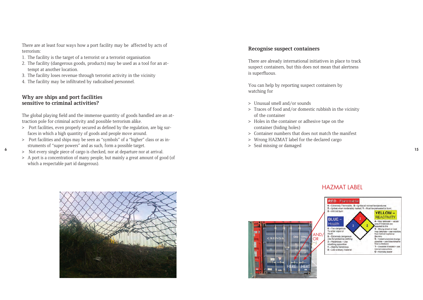There are at least four ways how a port facility may be affected by acts of terrorism:

- 1. The facility is the target of a terrorist or a terrorist organisation
- 2. The facility (dangerous goods, products) may be used as a tool for an attempt at another location.
- 3. The facility loses revenue through terrorist activity in the vicinity
- 4. The facility may be infiltrated by radicalised personnel.

## **Why are ships and port facilities sensitive to criminal activities?**

The global playing field and the immense quantity of goods handled are an attraction pole for criminal activity and possible terrorism alike.

- > Port facilities, even properly secured as defined by the regulation, are big surfaces in which a high quantity of goods and people move around.
- > Port facilities and ships may be seen as "symbols" of a "higher" class or as instruments of "super powers" and as such, form a possible target.
- **6**  $\rightarrow$  Not every single piece of cargo is checked, nor at departure nor at arrival.
	- > A port is a concentration of many people, but mainly a great amount of good (of which a respectable part id dangerous).

#### **Recognise suspect containers**

There are already international initiatives in place to track suspect containers, but this does not mean that alertness is superfluous.

You can help by reporting suspect containers by watching for

- > Unusual smell and/or sounds
- > Traces of food and/or domestic rubbish in the vicinity of the container
- > Holes in the container or adhesive tape on the container (hiding holes)
- > Container numbers that does not match the manifest
- > Wrong HAZMAT label for the declared cargo
- > Seal missing or damaged



## HAZMAT LABEL

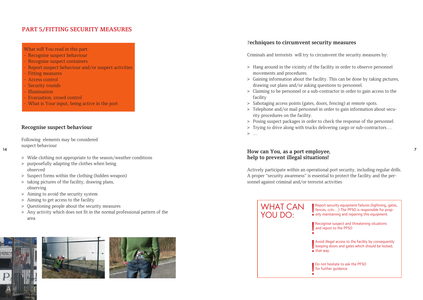## **PART 5/FITTING SECURITY MEASURES**

#### What will You read in this part:

- Recognise suspect behaviour
- Recognise suspect containers
- Report suspect behaviour and/or suspect activities
- Fitting measures
- Access control
- Security rounds
- **Illumination**
- Evacuation, crowd control
- What is Your input, being active in the port

## **Recognise suspect behaviour**

Following elements may be considered suspect behaviour

- 14
- > Wide clothing not appropriate to the season/weather conditions
- > purposefully adapting the clothes when being observed
- > Suspect forms within the clothing (hidden weapon)
- > taking pictures of the facility, drawing plans, observing
- > Aiming to avoid the security system
- > Aiming to get access to the facility
- > Questioning people about the security measures
- > Any activity which does not fit in the normal professional pattern of the area







## *T***echniques to circumvent security measures**

Criminals and terrorists will try to circumvent the security measures by:

- > Hang around in the vicinity of the facility in order to observe personnel movements and procedures.
- > Gaining information about the facility. This can be done by taking pictures, drawing out plans and/or asking questions to personnel.
- > Claiming to be personnel or a sub-contractor in order to gain access to the facility
- > Sabotaging access points (gates, doors, fencing) at remote spots.
- > Telephone and/or mail personnel in order to gain information about security procedures on the facility.
- > Posing suspect packages in order to check the response of the personnel.
- > Trying to drive along with trucks delivering cargo or sub-contractors….
- $>$  …

## **How can You, as a port employee, help to prevent illegal situations!**

Actively participate within an operational port security, including regular drills. A proper "security awareness" is essential to protect the facility and the personnel against criminal and/or terrorist activities

7

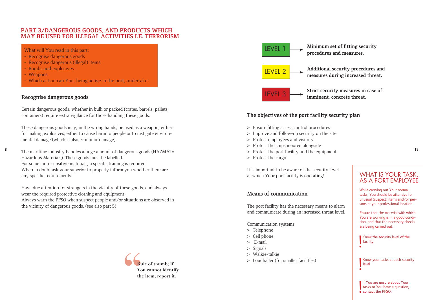## **PART 3/DANGEROUS GOODS, AND PRODUCTS WHICH MAY BE USED FOR ILLEGAL ACTIVITIES I.E. TERRORISM**

What will You read in this part:

- Recognise dangerous goods
- Recognise dangerous (illegal) items
- **Bombs and explosives**
- Weapons
- Which action can You, being active in the port, undertake!

## **Recognise dangerous goods**

Certain dangerous goods, whether in bulk or packed (crates, barrels, pallets, containers) require extra vigilance for those handling these goods.

These dangerous goods may, in the wrong hands, be used as a weapon, either for making explosives, either to cause harm to people or to instigate environmental damage (which is also economic damage).

8 The maritime industry handles a huge amount of dangerous goods (HAZMAT=  $\qquad \qquad$  > Protect the port facility and the equipment 13 Hazardous Materials). These goods must be labelled. For some more sensitive materials, a specific training is required. When in doubt ask your superior to properly inform you whether there are any specific requirements.

Have due attention for strangers in the vicinity of these goods, and always wear the required protective clothing and equipment. Always warn the PFSO when suspect people and/or situations are observed in the vicinity of dangerous goods. (see also part 5)





## **The objectives of the port facility security plan**

- > Ensure fitting access control procedures
- > Improve and follow-up security on the site
- > Protect employees and visitors
- > Protect the ships moored alongside
- > Protect the port facility and the equipment
- > Protect the cargo

It is important to be aware of the security level at which Your port facility is operating!

## **Means of communication**

The port facility has the necessary means to alarm and communicate during an increased threat level.

Communication systems:

- > Telephone
- > Cell phone
- > E-mail
- > Signals
- > Walkie-talkie
- > Loudhailer (for smaller facilities)

## WHAT IS YOUR TASK, AS A PORT EMPLOYEE

While carrying out Your normal tasks, You should be attentive for unusual (suspect) items and/or persons at your professional location.

Ensure that the material with which You are working is in a good condition, and that the necessary checks are being carried out.

Know the security level of the facility

Know your tasks at each security level

If You are unsure about Your<br>tasks or You have a question,<br>• contact the PFSO. tasks or You have a question, contact the PFSO.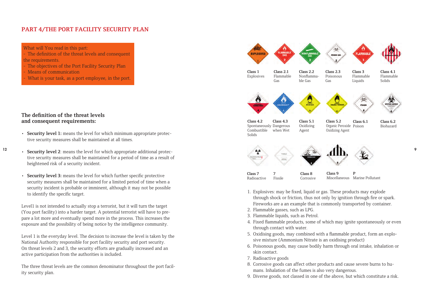## **PART 4/THE PORT FACILITY SECURITY PLAN**

What will You read in this part:

- The definition of the threat levels and consequent the requirements.
- The objectives of the Port Facility Security Plan
- Means of communication
- What is your task, as a port employee, in the port.

## **The definition of the threat levels and consequent requirements:**

- **• Security level 1:** means the level for which minimum appropriate protective security measures shall be maintained at all times.
- 
- tive security measures shall be maintained for a period of time as a result of heightened risk of a security incident.
- **• Security level 3:** means the level for which further specific protective security measures shall be maintained for a limited period of time when a security incident is probable or imminent, although it may not be possible to identify the specific target.

Level1 is not intended to actually stop a terrorist, but it will turn the target (You port facility) into a harder target. A potential terrorist will have to prepare a lot more and eventually spend more in the process. This increases the exposure and the possibility of being notice by the intelligence community.

Level 1 is the everyday level. The decision to increase the level is taken by the National Authority responsible for port facility security and port security. On threat levels 2 and 3, the security efforts are gradually increased and an active participation from the authorities is included.

The three threat levels are the common denominator throughout the port facility security plan.



- Fireworks are a an example that is commonly transported by container.
- 2. Flammable gasses, such as LPG.
- 3. Flammable liquids, such as Petrol.
- 4. Fixed flammable products, some of which may ignite spontaneously or even through contact with water.
- 5. Oxidising goods, may combined with a flammable product, form an explosive mixture (Ammonium Nitrate is an oxidising product)
- 6. Poisonous goods, may cause bodily harm through oral intake, inhalation or skin contact.
- 7. Radioactive goods
- 8. Corrosive goods can affect other products and cause severe burns to humans. Inhalation of the fumes is also very dangerous.
- 9. Diverse goods, not classed in one of the above, but which constitute a risk.